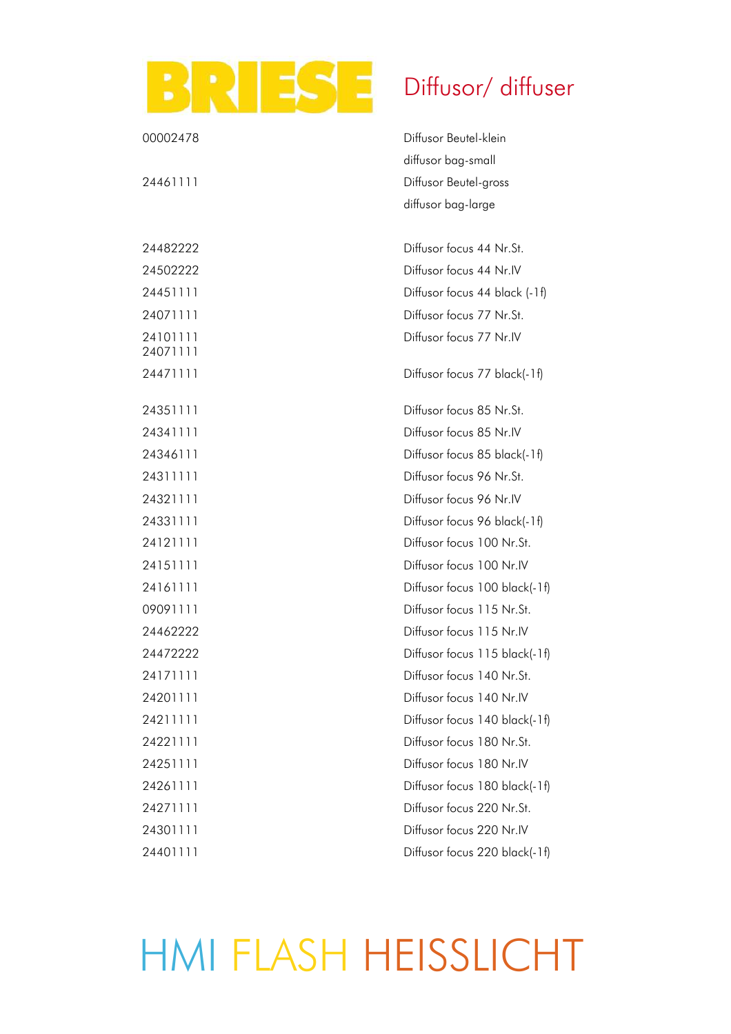## BRIESE Diffusor/ diffuser

| 00002478             | Diffusor Beutel-klein         |
|----------------------|-------------------------------|
|                      | diffusor bag-small            |
| 24461111             | Diffusor Beutel-gross         |
|                      | diffusor bag-large            |
| 24482222             | Diffusor focus 44 Nr.St.      |
| 24502222             | Diffusor focus 44 Nr.IV       |
| 24451111             | Diffusor focus 44 black (-1f) |
| 24071111             | Diffusor focus 77 Nr.St.      |
| 24101111<br>24071111 | Diffusor focus 77 Nr.IV       |
| 24471111             | Diffusor focus 77 black(-1f)  |
| 24351111             | Diffusor focus 85 Nr.St.      |
| 24341111             | Diffusor focus 85 Nr.IV       |
| 24346111             | Diffusor focus 85 black(-1f)  |
| 24311111             | Diffusor focus 96 Nr.St.      |
| 24321111             | Diffusor focus 96 Nr.IV       |
| 24331111             | Diffusor focus 96 black(-1f)  |
| 24121111             | Diffusor focus 100 Nr.St.     |
| 24151111             | Diffusor focus 100 Nr.IV      |
| 24161111             | Diffusor focus 100 black(-1f) |
| 09091111             | Diffusor focus 115 Nr.St.     |
| 24462222             | Diffusor focus 115 Nr.IV      |
| 24472222             | Diffusor focus 115 black(-1f) |
| 24171111             | Diffusor focus 140 Nr.St.     |
| 24201111             | Diffusor focus 140 Nr.IV      |
| 24211111             | Diffusor focus 140 black(-1f) |
| 24221111             | Diffusor focus 180 Nr.St.     |
| 24251111             | Diffusor focus 180 Nr.IV      |
| 24261111             | Diffusor focus 180 black(-1f) |
| 24271111             | Diffusor focus 220 Nr.St.     |
| 24301111             | Diffusor focus 220 Nr.IV      |
| 24401111             | Diffusor focus 220 black(-1f) |

HMI FLASH HEISSLICHT